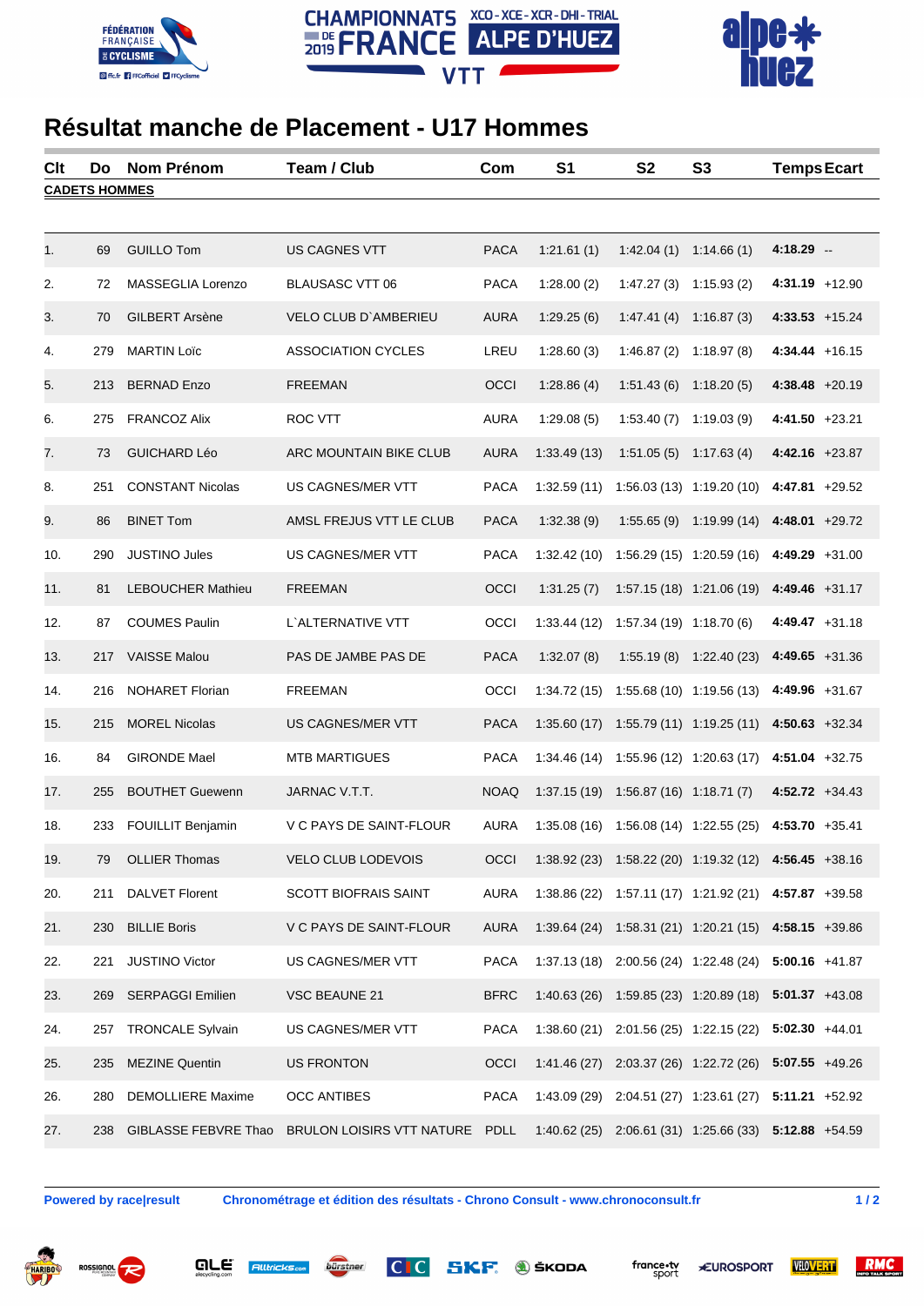





## **Résultat manche de Placement - U17 Hommes**

| Clt                  | Do  | <b>Nom Prénom</b>        | Team / Club                    | Com         | S <sub>1</sub> | <b>S2</b>                                 | <b>S3</b>                   | <b>Temps Ecart</b>                                    |  |  |  |
|----------------------|-----|--------------------------|--------------------------------|-------------|----------------|-------------------------------------------|-----------------------------|-------------------------------------------------------|--|--|--|
| <b>CADETS HOMMES</b> |     |                          |                                |             |                |                                           |                             |                                                       |  |  |  |
|                      |     |                          |                                |             |                |                                           |                             |                                                       |  |  |  |
| 1.                   | 69  | <b>GUILLO Tom</b>        | US CAGNES VTT                  | <b>PACA</b> | 1:21.61(1)     | 1:42.04(1)                                | 1:14.66(1)                  | $4:18.29 -$                                           |  |  |  |
| 2.                   | 72  | MASSEGLIA Lorenzo        | <b>BLAUSASC VTT 06</b>         | <b>PACA</b> | 1:28.00(2)     | 1:47.27(3)                                | 1:15.93(2)                  | $4:31.19 +12.90$                                      |  |  |  |
| 3.                   | 70  | <b>GILBERT Arsène</b>    | VELO CLUB D'AMBERIEU           | <b>AURA</b> | 1:29.25(6)     | 1:47.41(4)                                | 1:16.87(3)                  | $4:33.53 + 15.24$                                     |  |  |  |
| 4.                   | 279 | <b>MARTIN Loïc</b>       | <b>ASSOCIATION CYCLES</b>      | LREU        | 1:28.60(3)     | 1:46.87(2)                                | 1:18.97(8)                  | $4:34.44 + 16.15$                                     |  |  |  |
| 5.                   | 213 | <b>BERNAD Enzo</b>       | <b>FREEMAN</b>                 | OCCI        | 1:28.86(4)     | 1:51.43(6)                                | 1:18.20(5)                  | $4:38.48 +20.19$                                      |  |  |  |
| 6.                   | 275 | <b>FRANCOZ Alix</b>      | <b>ROC VTT</b>                 | <b>AURA</b> | 1:29.08(5)     | 1:53.40(7)                                | 1:19.03(9)                  | $4:41.50 +23.21$                                      |  |  |  |
| 7.                   | 73  | <b>GUICHARD Léo</b>      | ARC MOUNTAIN BIKE CLUB         | <b>AURA</b> | 1:33.49(13)    | 1:51.05(5)                                | 1:17.63(4)                  | $4:42.16$ +23.87                                      |  |  |  |
| 8.                   | 251 | <b>CONSTANT Nicolas</b>  | US CAGNES/MER VTT              | <b>PACA</b> | 1:32.59(11)    |                                           | 1:56.03 (13) 1:19.20 (10)   | $4:47.81 + 29.52$                                     |  |  |  |
| 9.                   | 86  | <b>BINET Tom</b>         | AMSL FREJUS VTT LE CLUB        | <b>PACA</b> | 1:32.38(9)     | 1:55.65(9)                                | 1:19.99 (14)                | $4:48.01 +29.72$                                      |  |  |  |
| 10.                  | 290 | <b>JUSTINO Jules</b>     | US CAGNES/MER VTT              | <b>PACA</b> | 1:32.42(10)    |                                           | 1:56.29 (15) 1:20.59 (16)   | $4:49.29 +31.00$                                      |  |  |  |
| 11.                  | 81  | <b>LEBOUCHER Mathieu</b> | <b>FREEMAN</b>                 | OCCI        | 1:31.25(7)     |                                           | 1:57.15 (18) 1:21.06 (19)   | $4:49.46$ +31.17                                      |  |  |  |
| 12.                  | 87  | <b>COUMES Paulin</b>     | L'ALTERNATIVE VTT              | OCCI        | 1:33.44(12)    | 1:57.34 (19) 1:18.70 (6)                  |                             | $4:49.47 +31.18$                                      |  |  |  |
| 13.                  |     | 217 VAISSE Malou         | PAS DE JAMBE PAS DE            | <b>PACA</b> | 1:32.07(8)     | 1:55.19(8)                                | 1:22.40 (23)                | $4:49.65 +31.36$                                      |  |  |  |
| 14.                  | 216 | <b>NOHARET Florian</b>   | <b>FREEMAN</b>                 | OCCI        | 1:34.72(15)    |                                           | 1:55.68 (10) 1:19.56 (13)   | 4:49.96 +31.67                                        |  |  |  |
| 15.                  | 215 | <b>MOREL Nicolas</b>     | US CAGNES/MER VTT              | <b>PACA</b> | 1:35.60(17)    |                                           | 1:55.79 (11) 1:19.25 (11)   | $4:50.63$ +32.34                                      |  |  |  |
| 16.                  | 84  | <b>GIRONDE Mael</b>      | <b>MTB MARTIGUES</b>           | <b>PACA</b> | 1:34.46(14)    |                                           | 1:55.96 (12) 1:20.63 (17)   | $4:51.04$ +32.75                                      |  |  |  |
| 17.                  | 255 | <b>BOUTHET Guewenn</b>   | JARNAC V.T.T.                  | <b>NOAQ</b> | 1:37.15(19)    | 1:56.87 (16) 1:18.71 (7)                  |                             | $4:52.72 + 34.43$                                     |  |  |  |
| 18.                  | 233 | <b>FOUILLIT Benjamin</b> | V C PAYS DE SAINT-FLOUR        | <b>AURA</b> | 1:35.08(16)    |                                           | $1:56.08(14)$ $1:22.55(25)$ | $4:53.70 +35.41$                                      |  |  |  |
| 19.                  | 79  | <b>OLLIER Thomas</b>     | <b>VELO CLUB LODEVOIS</b>      | OCCI        |                |                                           |                             | 1:38.92 (23) 1:58.22 (20) 1:19.32 (12) 4:56.45 +38.16 |  |  |  |
| 20.                  | 211 | <b>DALVET Florent</b>    | <b>SCOTT BIOFRAIS SAINT</b>    | <b>AURA</b> | 1:38.86(22)    |                                           |                             | 1:57.11 (17) 1:21.92 (21) 4:57.87 +39.58              |  |  |  |
| 21.                  |     | 230 BILLIE Boris         | V C PAYS DE SAINT-FLOUR        | <b>AURA</b> | 1:39.64(24)    |                                           |                             | 1:58.31 (21) 1:20.21 (15) 4:58.15 +39.86              |  |  |  |
| 22.                  | 221 | <b>JUSTINO Victor</b>    | US CAGNES/MER VTT              | <b>PACA</b> |                |                                           |                             | 1:37.13 (18) 2:00.56 (24) 1:22.48 (24) 5:00.16 +41.87 |  |  |  |
| 23.                  | 269 | <b>SERPAGGI Emilien</b>  | VSC BEAUNE 21                  | <b>BFRC</b> | 1:40.63(26)    |                                           |                             | 1:59.85 (23) 1:20.89 (18) 5:01.37 +43.08              |  |  |  |
| 24.                  | 257 | <b>TRONCALE Sylvain</b>  | US CAGNES/MER VTT              | <b>PACA</b> |                | $1:38.60(21)$ $2:01.56(25)$ $1:22.15(22)$ |                             | $5:02.30 +44.01$                                      |  |  |  |
| 25.                  | 235 | <b>MEZINE Quentin</b>    | <b>US FRONTON</b>              | OCCI        | 1:41.46(27)    |                                           |                             | 2:03.37 (26) 1:22.72 (26) 5:07.55 +49.26              |  |  |  |
| 26.                  | 280 | <b>DEMOLLIERE Maxime</b> | <b>OCC ANTIBES</b>             | <b>PACA</b> |                |                                           |                             | 1:43.09 (29) 2:04.51 (27) 1:23.61 (27) 5:11.21 +52.92 |  |  |  |
| 27.                  | 238 | GIBLASSE FEBVRE Thao     | BRULON LOISIRS VTT NATURE PDLL |             |                |                                           |                             | 1:40.62 (25) 2:06.61 (31) 1:25.66 (33) 5:12.88 +54.59 |  |  |  |

are

**Alltricks.com** 

**Powered by race|result Chronométrage et édition des résultats - Chrono Consult - www.chronoconsult.fr 1 / 2**